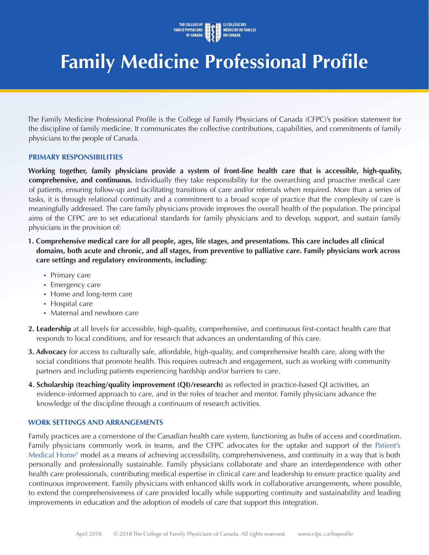

# **Family Medicine Professional Profile**

The Family Medicine Professional Profile is the College of Family Physicians of Canada (CFPC)'s position statement for the discipline of family medicine. It communicates the collective contributions, capabilities, and commitments of family physicians to the people of Canada.

#### **PRIMARY RESPONSIBILITIES**

**Working together, family physicians provide a system of front-line health care that is accessible, high-quality, comprehensive, and continuous.** Individually they take responsibility for the overarching and proactive medical care of patients, ensuring follow-up and facilitating transitions of care and/or referrals when required. More than a series of tasks, it is through relational continuity and a commitment to a broad scope of practice that the complexity of care is meaningfully addressed. The care family physicians provide improves the overall health of the population. The principal aims of the CFPC are to set educational standards for family physicians and to develop, support, and sustain family physicians in the provision of:

- **1. Comprehensive medical care for all people, ages, life stages, and presentations. This care includes all clinical domains, both acute and chronic, and all stages, from preventive to palliative care. Family physicians work across care settings and regulatory environments, including:** 
	- Primary care
	- Emergency care
	- Home and long-term care
	- Hospital care
	- Maternal and newborn care
- **2. Leadership** at all levels for accessible, high-quality, comprehensive, and continuous first-contact health care that responds to local conditions, and for research that advances an understanding of this care.
- **3. Advocacy** for access to culturally safe, affordable, high-quality, and comprehensive health care, along with the social conditions that promote health. This requires outreach and engagement, such as working with community partners and including patients experiencing hardship and/or barriers to care.
- **4. Scholarship (teaching/quality improvement (QI)/research)** as reflected in practice-based QI activities, an evidence-informed approach to care, and in the roles of teacher and mentor. Family physicians advance the knowledge of the discipline through a continuum of research activities.

#### **WORK SETTINGS AND ARRANGEMENTS**

Family practices are a cornerstone of the Canadian health care system, functioning as hubs of access and coordination. Family physicians commonly work in teams, and the CFPC advocates for the uptake and support of the Patient's Medical Home<sup>1</sup> model as a means of achieving accessibility, comprehensiveness, and continuity in a way that is both personally and professionally sustainable. Family physicians collaborate and share an interdependence with other health care professionals, contributing medical expertise in clinical care and leadership to ensure practice quality and continuous improvement. Family physicians with enhanced skills work in collaborative arrangements, where possible, to extend the comprehensiveness of care provided locally while supporting continuity and sustainability and leading improvements in education and the adoption of models of care that support this integration.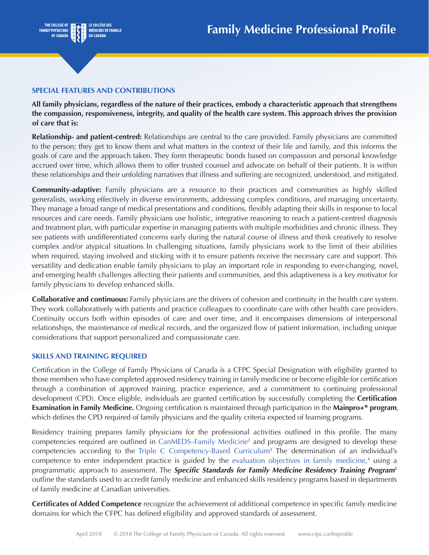

### **SPECIAL FEATURES AND CONTRIBUTIONS**

**All family physicians, regardless of the nature of their practices, embody a characteristic approach that strengthens the compassion, responsiveness, integrity, and quality of the health care system. This approach drives the provision of care that is:**

**Relationship- and patient-centred:** Relationships are central to the care provided. Family physicians are committed to the person; they get to know them and what matters in the context of their life and family, and this informs the goals of care and the approach taken. They form therapeutic bonds based on compassion and personal knowledge accrued over time, which allows them to offer trusted counsel and advocate on behalf of their patients. It is within these relationships and their unfolding narratives that illness and suffering are recognized, understood, and mitigated.

**Community-adaptive:** Family physicians are a resource to their practices and communities as highly skilled generalists, working effectively in diverse environments, addressing complex conditions, and managing uncertainty. They manage a broad range of medical presentations and conditions, flexibly adapting their skills in response to local resources and care needs. Family physicians use holistic, integrative reasoning to reach a patient-centred diagnosis and treatment plan, with particular expertise in managing patients with multiple morbidities and chronic illness. They see patients with undifferentiated concerns early during the natural course of illness and think creatively to resolve complex and/or atypical situations*.* In challenging situations, family physicians work to the limit of their abilities when required, staying involved and sticking with it to ensure patients receive the necessary care and support. This versatility and dedication enable family physicians to play an important role in responding to ever-changing, novel, and emerging health challenges affecting their patients and communities, and this adaptiveness is a key motivator for family physicians to develop enhanced skills.

**Collaborative and continuous:** Family physicians are the drivers of cohesion and continuity in the health care system. They work collaboratively with patients and practice colleagues to coordinate care with other health care providers. Continuity occurs both within episodes of care and over time, and it encompasses dimensions of interpersonal relationships, the maintenance of medical records, and the organized flow of patient information, including unique considerations that support personalized and compassionate care.

#### **SKILLS AND TRAINING REQUIRED**

Certification in the College of Family Physicians of Canada is a CFPC Special Designation with eligibility granted to those members who have completed approved residency training in family medicine or become eligible for certification through a combination of approved training, practice experience, and a commitment to continuing professional development (CPD). Once eligible, individuals are granted certification by successfully completing the **Certification Examination in Family Medicine.** Ongoing certification is maintained through participation in the **Mainpro+® program**, which defines the CPD required of family physicians and the quality criteria expected of learning programs.

Residency training prepares family physicians for the professional activities outlined in this profile. The many competencies required are outlined in CanMEDS–Family Medicine2 and programs are designed to develop these competencies according to the Triple C Competency-Based Curriculum<sup>3</sup> The determination of an individual's competence to enter independent practice is guided by the evaluation objectives in family medicine,<sup>4</sup> using a programmatic approach to assessment. The *Specific Standards for Family Medicine Residency Training Program<sup>5</sup>* outline the standards used to accredit family medicine and enhanced skills residency programs based in departments of family medicine at Canadian universities.

**Certificates of Added Competence** recognize the achievement of additional competence in specific family medicine domains for which the CFPC has defined eligibility and approved standards of assessment.